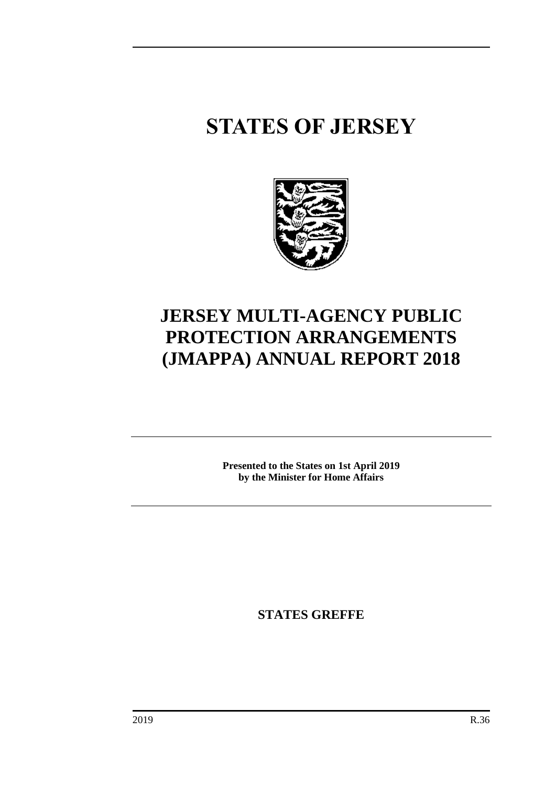# **STATES OF JERSEY**



# **JERSEY MULTI-AGENCY PUBLIC PROTECTION ARRANGEMENTS (JMAPPA) ANNUAL REPORT 2018**

**Presented to the States on 1st April 2019 by the Minister for Home Affairs**

**STATES GREFFE**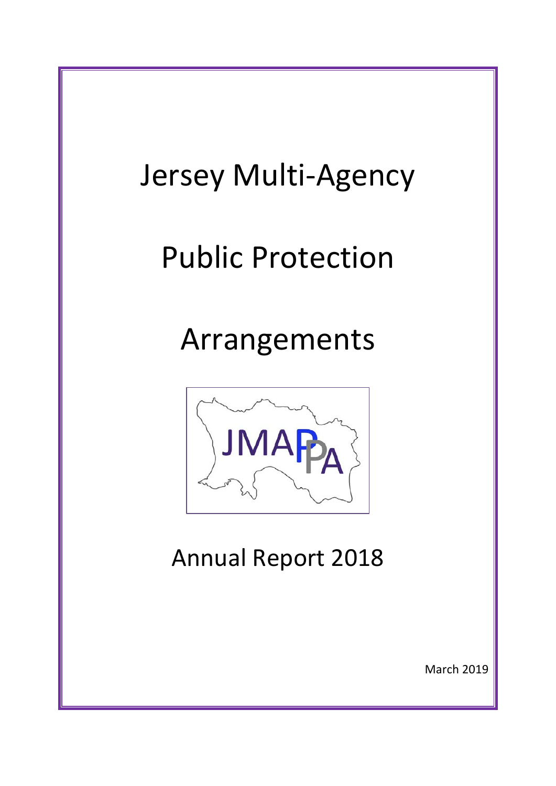# Jersey Multi-Agency Public Protection Arrangements **JMA** Annual Report 2018 March 2019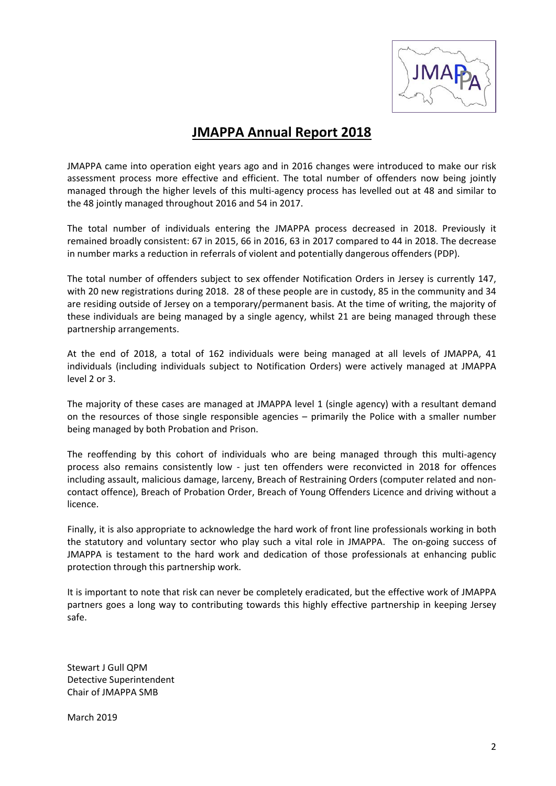

# **JMAPPA Annual Report 2018**

JMAPPA came into operation eight years ago and in 2016 changes were introduced to make our risk assessment process more effective and efficient. The total number of offenders now being jointly managed through the higher levels of this multi-agency process has levelled out at 48 and similar to the 48 jointly managed throughout 2016 and 54 in 2017.

The total number of individuals entering the JMAPPA process decreased in 2018. Previously it remained broadly consistent: 67 in 2015, 66 in 2016, 63 in 2017 compared to 44 in 2018. The decrease in number marks a reduction in referrals of violent and potentially dangerous offenders (PDP).

The total number of offenders subject to sex offender Notification Orders in Jersey is currently 147, with 20 new registrations during 2018. 28 of these people are in custody, 85 in the community and 34 are residing outside of Jersey on a temporary/permanent basis. At the time of writing, the majority of these individuals are being managed by a single agency, whilst 21 are being managed through these partnership arrangements.

At the end of 2018, a total of 162 individuals were being managed at all levels of JMAPPA, 41 individuals (including individuals subject to Notification Orders) were actively managed at JMAPPA level 2 or 3.

The majority of these cases are managed at JMAPPA level 1 (single agency) with a resultant demand on the resources of those single responsible agencies – primarily the Police with a smaller number being managed by both Probation and Prison.

The reoffending by this cohort of individuals who are being managed through this multi-agency process also remains consistently low - just ten offenders were reconvicted in 2018 for offences including assault, malicious damage, larceny, Breach of Restraining Orders (computer related and noncontact offence), Breach of Probation Order, Breach of Young Offenders Licence and driving without a licence.

Finally, it is also appropriate to acknowledge the hard work of front line professionals working in both the statutory and voluntary sector who play such a vital role in JMAPPA. The on-going success of JMAPPA is testament to the hard work and dedication of those professionals at enhancing public protection through this partnership work.

It is important to note that risk can never be completely eradicated, but the effective work of JMAPPA partners goes a long way to contributing towards this highly effective partnership in keeping Jersey safe.

Stewart J Gull QPM Detective Superintendent Chair of JMAPPA SMB

March 2019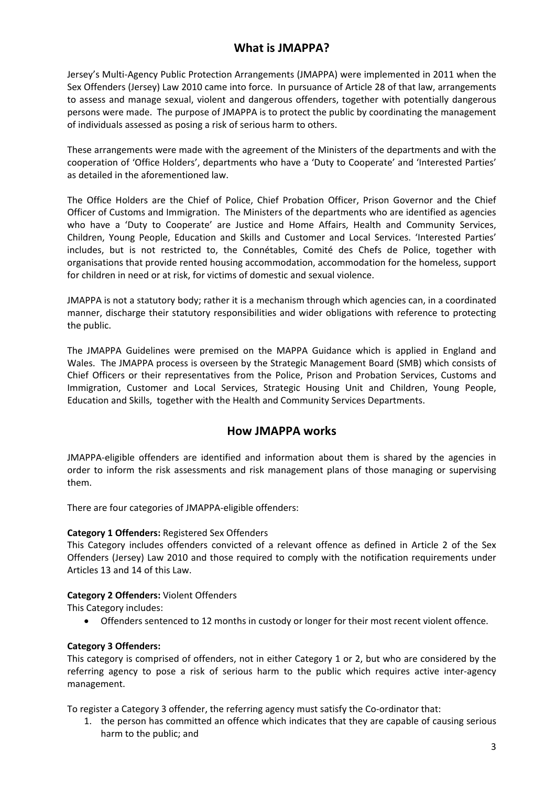## **What is JMAPPA?**

Jersey's Multi-Agency Public Protection Arrangements (JMAPPA) were implemented in 2011 when the Sex Offenders (Jersey) Law 2010 came into force. In pursuance of Article 28 of that law, arrangements to assess and manage sexual, violent and dangerous offenders, together with potentially dangerous persons were made. The purpose of JMAPPA is to protect the public by coordinating the management of individuals assessed as posing a risk of serious harm to others.

These arrangements were made with the agreement of the Ministers of the departments and with the cooperation of 'Office Holders', departments who have a 'Duty to Cooperate' and 'Interested Parties' as detailed in the aforementioned law.

The Office Holders are the Chief of Police, Chief Probation Officer, Prison Governor and the Chief Officer of Customs and Immigration. The Ministers of the departments who are identified as agencies who have a 'Duty to Cooperate' are Justice and Home Affairs, Health and Community Services, Children, Young People, Education and Skills and Customer and Local Services. 'Interested Parties' includes, but is not restricted to, the Connétables, Comité des Chefs de Police, together with organisations that provide rented housing accommodation, accommodation for the homeless, support for children in need or at risk, for victims of domestic and sexual violence.

JMAPPA is not a statutory body; rather it is a mechanism through which agencies can, in a coordinated manner, discharge their statutory responsibilities and wider obligations with reference to protecting the public.

The JMAPPA Guidelines were premised on the MAPPA Guidance which is applied in England and Wales. The JMAPPA process is overseen by the Strategic Management Board (SMB) which consists of Chief Officers or their representatives from the Police, Prison and Probation Services, Customs and Immigration, Customer and Local Services, Strategic Housing Unit and Children, Young People, Education and Skills, together with the Health and Community Services Departments.

#### **How JMAPPA works**

JMAPPA-eligible offenders are identified and information about them is shared by the agencies in order to inform the risk assessments and risk management plans of those managing or supervising them.

There are four categories of JMAPPA-eligible offenders:

#### **Category 1 Offenders:** Registered Sex Offenders

This Category includes offenders convicted of a relevant offence as defined in Article 2 of the Sex Offenders (Jersey) Law 2010 and those required to comply with the notification requirements under Articles 13 and 14 of this Law.

#### **Category 2 Offenders:** Violent Offenders

This Category includes:

• Offenders sentenced to 12 months in custody or longer for their most recent violent offence.

#### **Category 3 Offenders:**

This category is comprised of offenders, not in either Category 1 or 2, but who are considered by the referring agency to pose a risk of serious harm to the public which requires active inter-agency management.

To register a Category 3 offender, the referring agency must satisfy the Co-ordinator that:

1. the person has committed an offence which indicates that they are capable of causing serious harm to the public; and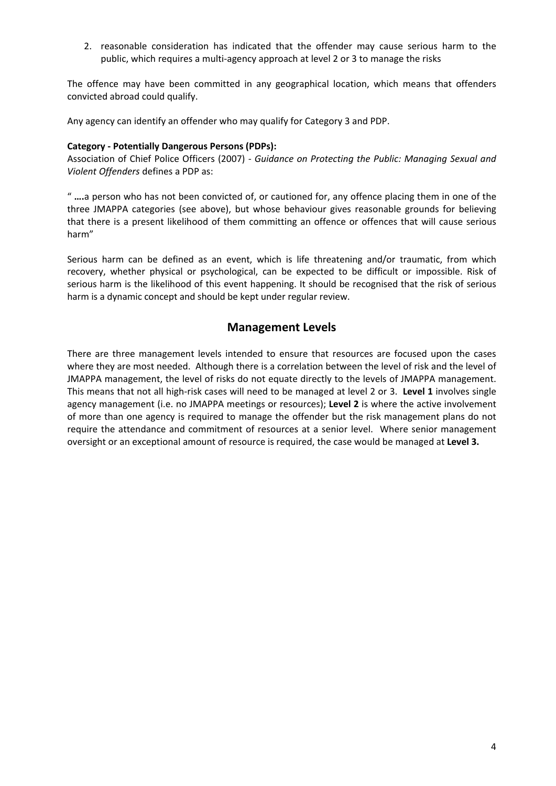2. reasonable consideration has indicated that the offender may cause serious harm to the public, which requires a multi-agency approach at level 2 or 3 to manage the risks

The offence may have been committed in any geographical location, which means that offenders convicted abroad could qualify.

Any agency can identify an offender who may qualify for Category 3 and PDP.

#### **Category - Potentially Dangerous Persons (PDPs):**

Association of Chief Police Officers (2007) *- Guidance on Protecting the Public: Managing Sexual and Violent Offenders* defines a PDP as:

" **….**a person who has not been convicted of, or cautioned for, any offence placing them in one of the three JMAPPA categories (see above), but whose behaviour gives reasonable grounds for believing that there is a present likelihood of them committing an offence or offences that will cause serious harm"

Serious harm can be defined as an event, which is life threatening and/or traumatic, from which recovery, whether physical or psychological, can be expected to be difficult or impossible. Risk of serious harm is the likelihood of this event happening. It should be recognised that the risk of serious harm is a dynamic concept and should be kept under regular review.

#### **Management Levels**

There are three management levels intended to ensure that resources are focused upon the cases where they are most needed. Although there is a correlation between the level of risk and the level of JMAPPA management, the level of risks do not equate directly to the levels of JMAPPA management. This means that not all high-risk cases will need to be managed at level 2 or 3. **Level 1** involves single agency management (i.e. no JMAPPA meetings or resources); **Level 2** is where the active involvement of more than one agency is required to manage the offender but the risk management plans do not require the attendance and commitment of resources at a senior level. Where senior management oversight or an exceptional amount of resource is required, the case would be managed at **Level 3.**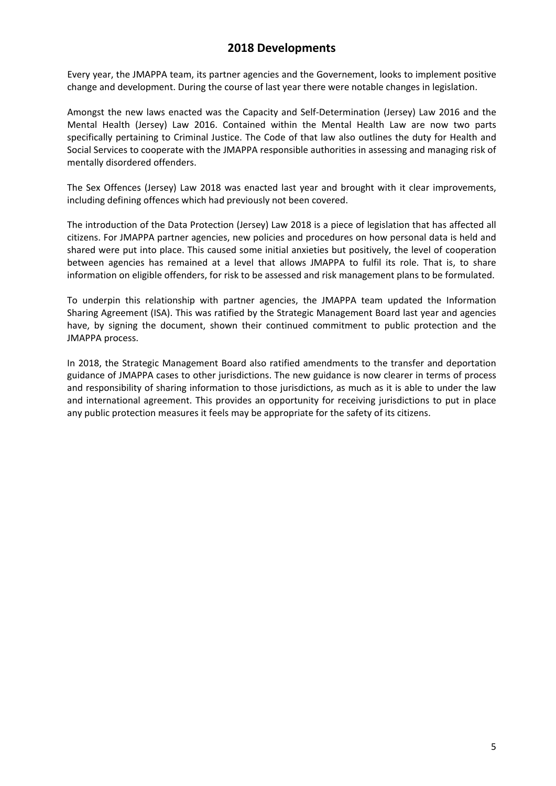### **2018 Developments**

Every year, the JMAPPA team, its partner agencies and the Governement, looks to implement positive change and development. During the course of last year there were notable changes in legislation.

Amongst the new laws enacted was the Capacity and Self-Determination (Jersey) Law 2016 and the Mental Health (Jersey) Law 2016. Contained within the Mental Health Law are now two parts specifically pertaining to Criminal Justice. The Code of that law also outlines the duty for Health and Social Services to cooperate with the JMAPPA responsible authorities in assessing and managing risk of mentally disordered offenders.

The Sex Offences (Jersey) Law 2018 was enacted last year and brought with it clear improvements, including defining offences which had previously not been covered.

The introduction of the Data Protection (Jersey) Law 2018 is a piece of legislation that has affected all citizens. For JMAPPA partner agencies, new policies and procedures on how personal data is held and shared were put into place. This caused some initial anxieties but positively, the level of cooperation between agencies has remained at a level that allows JMAPPA to fulfil its role. That is, to share information on eligible offenders, for risk to be assessed and risk management plans to be formulated.

To underpin this relationship with partner agencies, the JMAPPA team updated the Information Sharing Agreement (ISA). This was ratified by the Strategic Management Board last year and agencies have, by signing the document, shown their continued commitment to public protection and the JMAPPA process.

In 2018, the Strategic Management Board also ratified amendments to the transfer and deportation guidance of JMAPPA cases to other jurisdictions. The new guidance is now clearer in terms of process and responsibility of sharing information to those jurisdictions, as much as it is able to under the law and international agreement. This provides an opportunity for receiving jurisdictions to put in place any public protection measures it feels may be appropriate for the safety of its citizens.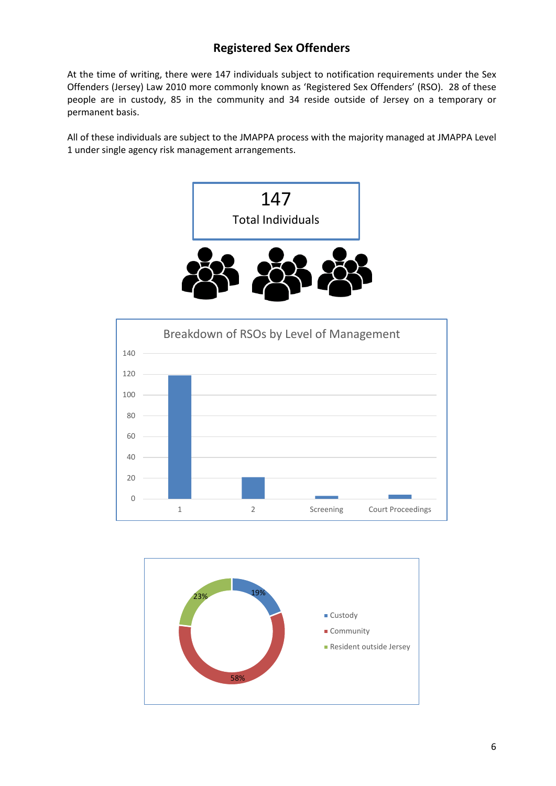# **Registered Sex Offenders**

At the time of writing, there were 147 individuals subject to notification requirements under the Sex Offenders (Jersey) Law 2010 more commonly known as 'Registered Sex Offenders' (RSO). 28 of these people are in custody, 85 in the community and 34 reside outside of Jersey on a temporary or permanent basis.

All of these individuals are subject to the JMAPPA process with the majority managed at JMAPPA Level 1 under single agency risk management arrangements.





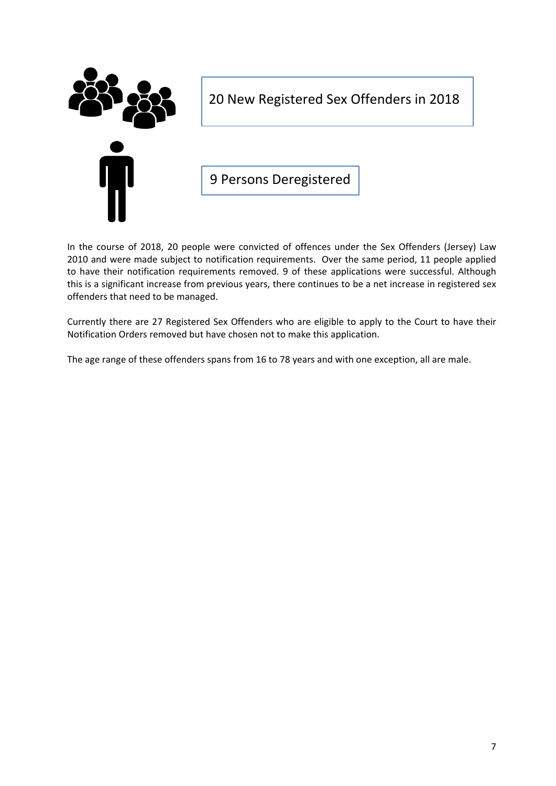

20 New Registered Sex Offenders in 2018

9 Persons Deregistered

In the course of 2018, 20 people were convicted of offences under the Sex Offenders (Jersey) Law 2010 and were made subject to notification requirements. Over the same period, 11 people applied to have their notification requirements removed. 9 of these applications were successful. Although this is a significant increase from previous years, there continues to be a net increase in registered sex offenders that need to be managed.

Currently there are 27 Registered Sex Offenders who are eligible to apply to the Court to have their Notification Orders removed but have chosen not to make this application.

The age range of these offenders spans from 16 to 78 years and with one exception, all are male.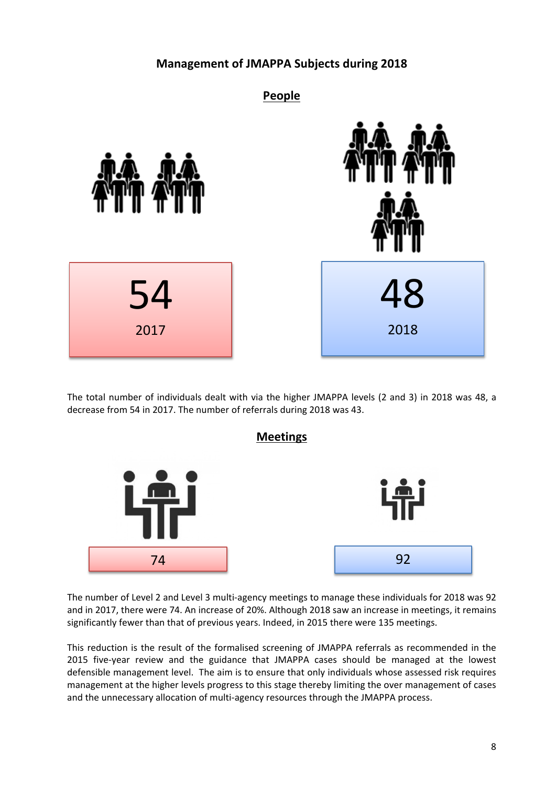# **Management of JMAPPA Subjects during 2018**



The total number of individuals dealt with via the higher JMAPPA levels (2 and 3) in 2018 was 48, a decrease from 54 in 2017. The number of referrals during 2018 was 43.



The number of Level 2 and Level 3 multi-agency meetings to manage these individuals for 2018 was 92 and in 2017, there were 74. An increase of 20%. Although 2018 saw an increase in meetings, it remains significantly fewer than that of previous years. Indeed, in 2015 there were 135 meetings.

This reduction is the result of the formalised screening of JMAPPA referrals as recommended in the 2015 five-year review and the guidance that JMAPPA cases should be managed at the lowest defensible management level. The aim is to ensure that only individuals whose assessed risk requires management at the higher levels progress to this stage thereby limiting the over management of cases and the unnecessary allocation of multi-agency resources through the JMAPPA process.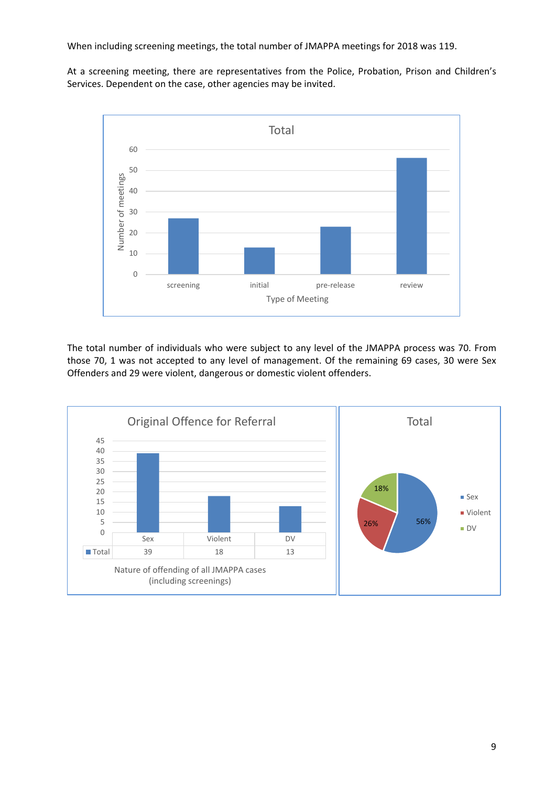When including screening meetings, the total number of JMAPPA meetings for 2018 was 119.

At a screening meeting, there are representatives from the Police, Probation, Prison and Children's Services. Dependent on the case, other agencies may be invited.



The total number of individuals who were subject to any level of the JMAPPA process was 70. From those 70, 1 was not accepted to any level of management. Of the remaining 69 cases, 30 were Sex Offenders and 29 were violent, dangerous or domestic violent offenders.

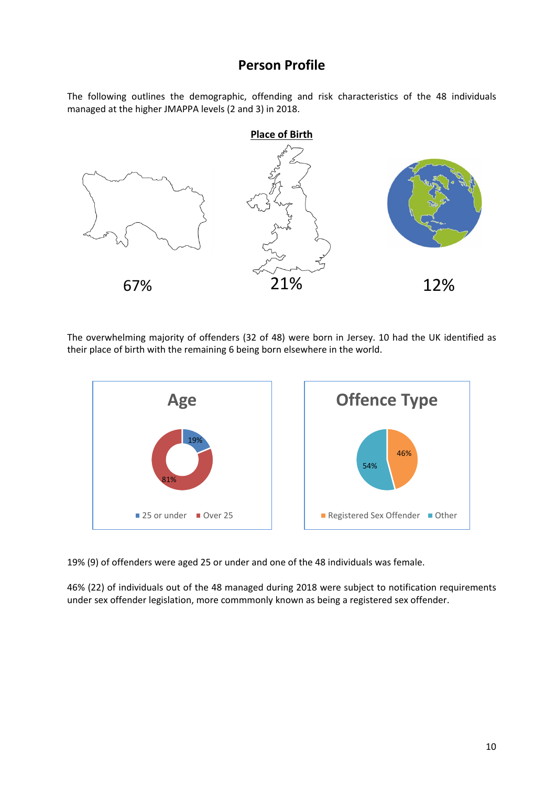# **Person Profile**

The following outlines the demographic, offending and risk characteristics of the 48 individuals managed at the higher JMAPPA levels (2 and 3) in 2018.



The overwhelming majority of offenders (32 of 48) were born in Jersey. 10 had the UK identified as their place of birth with the remaining 6 being born elsewhere in the world.



19% (9) of offenders were aged 25 or under and one of the 48 individuals was female.

46% (22) of individuals out of the 48 managed during 2018 were subject to notification requirements under sex offender legislation, more commmonly known as being a registered sex offender.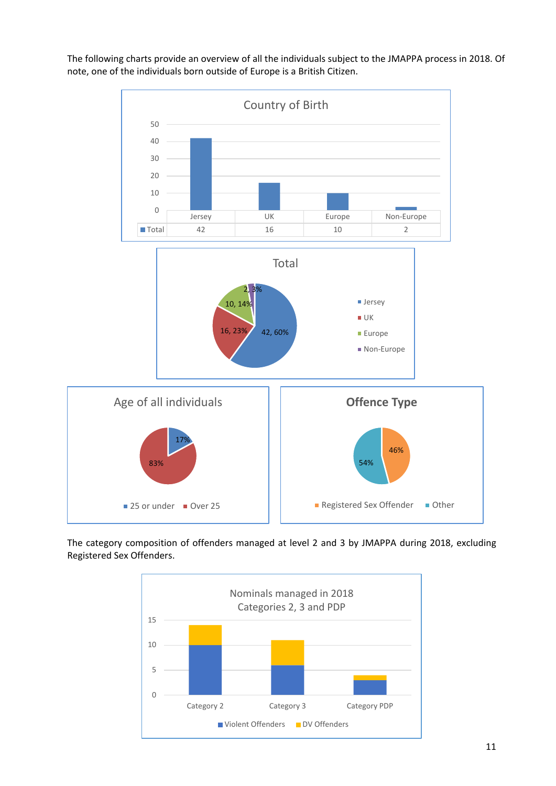

The following charts provide an overview of all the individuals subject to the JMAPPA process in 2018. Of note, one of the individuals born outside of Europe is a British Citizen.

The category composition of offenders managed at level 2 and 3 by JMAPPA during 2018, excluding Registered Sex Offenders.

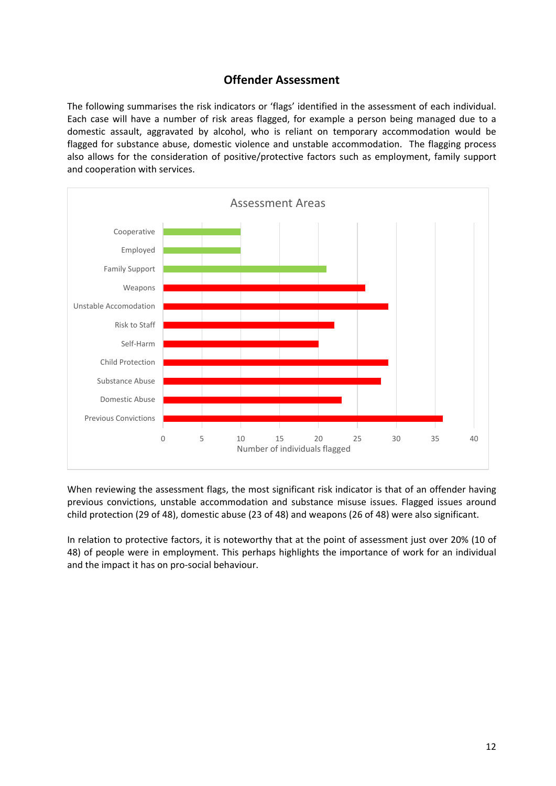## **Offender Assessment**

The following summarises the risk indicators or 'flags' identified in the assessment of each individual. Each case will have a number of risk areas flagged, for example a person being managed due to a domestic assault, aggravated by alcohol, who is reliant on temporary accommodation would be flagged for substance abuse, domestic violence and unstable accommodation. The flagging process also allows for the consideration of positive/protective factors such as employment, family support and cooperation with services.



When reviewing the assessment flags, the most significant risk indicator is that of an offender having previous convictions, unstable accommodation and substance misuse issues. Flagged issues around child protection (29 of 48), domestic abuse (23 of 48) and weapons (26 of 48) were also significant.

In relation to protective factors, it is noteworthy that at the point of assessment just over 20% (10 of 48) of people were in employment. This perhaps highlights the importance of work for an individual and the impact it has on pro-social behaviour.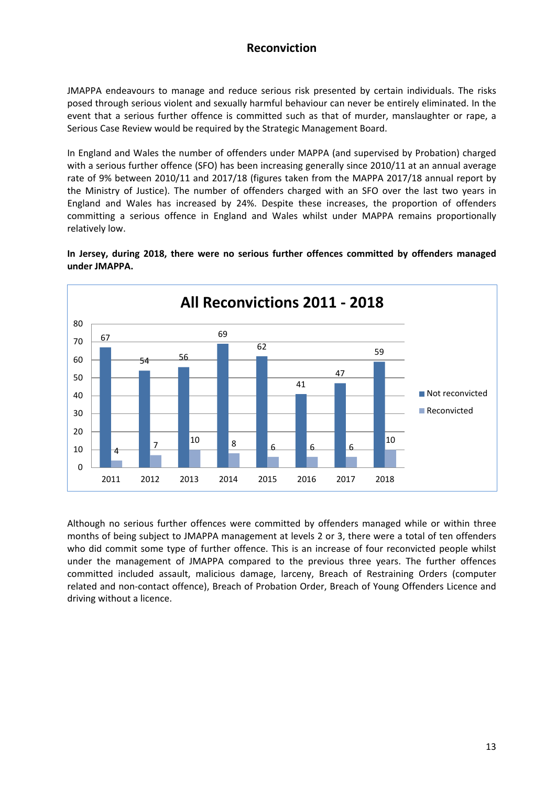# **Reconviction**

JMAPPA endeavours to manage and reduce serious risk presented by certain individuals. The risks posed through serious violent and sexually harmful behaviour can never be entirely eliminated. In the event that a serious further offence is committed such as that of murder, manslaughter or rape, a Serious Case Review would be required by the Strategic Management Board.

In England and Wales the number of offenders under MAPPA (and supervised by Probation) charged with a serious further offence (SFO) has been increasing generally since 2010/11 at an annual average rate of 9% between 2010/11 and 2017/18 (figures taken from the MAPPA 2017/18 annual report by the Ministry of Justice). The number of offenders charged with an SFO over the last two years in England and Wales has increased by 24%. Despite these increases, the proportion of offenders committing a serious offence in England and Wales whilst under MAPPA remains proportionally relatively low.

67  $54 - 56$ 69  $62$ 41 47 59 4 7 <sup>10</sup> 8 6 6 6 10  $\Omega$ 10 20 30 40 50 60 70 80 2011 2012 2013 2014 2015 2016 2017 2018 **All Reconvictions 2011 - 2018** Not reconvicted Reconvicted

**In Jersey, during 2018, there were no serious further offences committed by offenders managed under JMAPPA.**

Although no serious further offences were committed by offenders managed while or within three months of being subject to JMAPPA management at levels 2 or 3, there were a total of ten offenders who did commit some type of further offence. This is an increase of four reconvicted people whilst under the management of JMAPPA compared to the previous three years. The further offences committed included assault, malicious damage, larceny, Breach of Restraining Orders (computer related and non-contact offence), Breach of Probation Order, Breach of Young Offenders Licence and driving without a licence.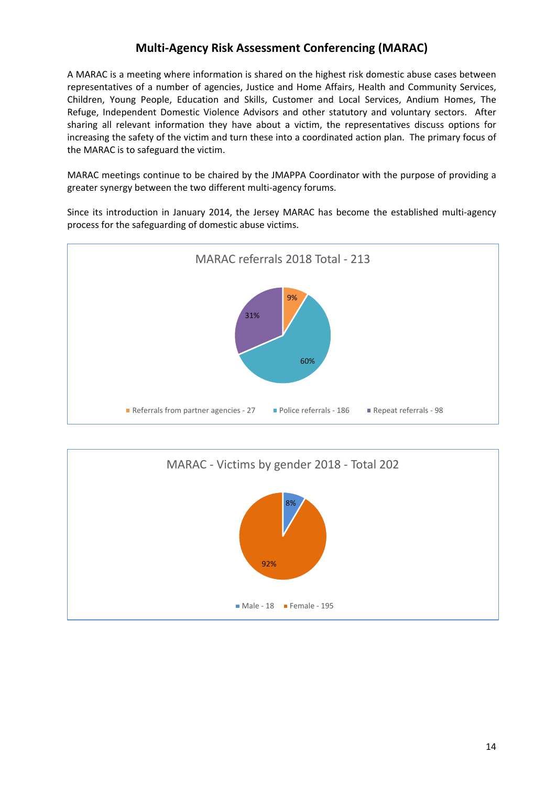# **Multi-Agency Risk Assessment Conferencing (MARAC)**

A MARAC is a meeting where information is shared on the highest risk domestic abuse cases between representatives of a number of agencies, Justice and Home Affairs, Health and Community Services, Children, Young People, Education and Skills, Customer and Local Services, Andium Homes, The Refuge, Independent Domestic Violence Advisors and other statutory and voluntary sectors. After sharing all relevant information they have about a victim, the representatives discuss options for increasing the safety of the victim and turn these into a coordinated action plan. The primary focus of the MARAC is to safeguard the victim.

MARAC meetings continue to be chaired by the JMAPPA Coordinator with the purpose of providing a greater synergy between the two different multi-agency forums.

Since its introduction in January 2014, the Jersey MARAC has become the established multi-agency process for the safeguarding of domestic abuse victims.